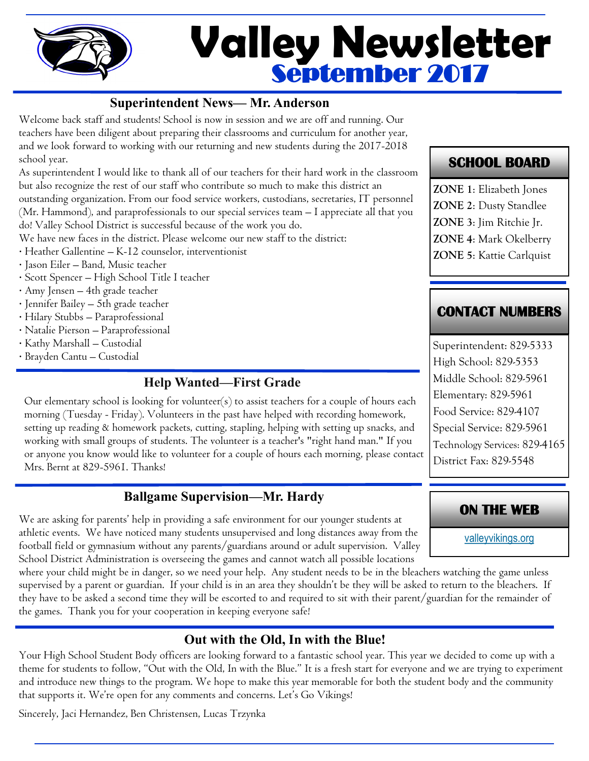

# September 2017 **Valley Newsletter**

#### **Superintendent News— Mr. Anderson**

Welcome back staff and students! School is now in session and we are off and running. Our teachers have been diligent about preparing their classrooms and curriculum for another year, and we look forward to working with our returning and new students during the 2017-2018 school year.

As superintendent I would like to thank all of our teachers for their hard work in the classroom but also recognize the rest of our staff who contribute so much to make this district an outstanding organization. From our food service workers, custodians, secretaries, IT personnel (Mr. Hammond), and paraprofessionals to our special services team – I appreciate all that you do! Valley School District is successful because of the work you do.

We have new faces in the district. Please welcome our new staff to the district:

- · Heather Gallentine K-12 counselor, interventionist
- · Jason Eiler Band, Music teacher
- · Scott Spencer High School Title I teacher
- · Amy Jensen 4th grade teacher
- · Jennifer Bailey 5th grade teacher
- · Hilary Stubbs Paraprofessional
- · Natalie Pierson Paraprofessional
- · Kathy Marshall Custodial
- · Brayden Cantu Custodial

## **Help Wanted—First Grade**

Our elementary school is looking for volunteer(s) to assist teachers for a couple of hours each morning (Tuesday - Friday). Volunteers in the past have helped with recording homework, setting up reading & homework packets, cutting, stapling, helping with setting up snacks, and working with small groups of students. The volunteer is a teacher's "right hand man." If you or anyone you know would like to volunteer for a couple of hours each morning, please contact Mrs. Bernt at 829-5961. Thanks!

## **Ballgame Supervision—Mr. Hardy**

We are asking for parents' help in providing a safe environment for our younger students at athletic events. We have noticed many students unsupervised and long distances away from the football field or gymnasium without any parents/guardians around or adult supervision. Valley School District Administration is overseeing the games and cannot watch all possible locations

where your child might be in danger, so we need your help. Any student needs to be in the bleachers watching the game unless supervised by a parent or guardian. If your child is in an area they shouldn't be they will be asked to return to the bleachers. If they have to be asked a second time they will be escorted to and required to sit with their parent/guardian for the remainder of the games. Thank you for your cooperation in keeping everyone safe!

# **Out with the Old, In with the Blue!**

Your High School Student Body officers are looking forward to a fantastic school year. This year we decided to come up with a theme for students to follow, "Out with the Old, In with the Blue." It is a fresh start for everyone and we are trying to experiment and introduce new things to the program. We hope to make this year memorable for both the student body and the community that supports it. We're open for any comments and concerns. Let's Go Vikings!

Sincerely, Jaci Hernandez, Ben Christensen, Lucas Trzynka

# **SCHOOL BOARD**

**ZONE 1**: Elizabeth Jones **ZONE 2**: Dusty Standlee **ZONE 3**: Jim Ritchie Jr. **ZONE 4**: Mark Okelberry **ZONE 5**: Kattie Carlquist

# **CONTACT NUMBERS**

Superintendent: 829-5333 High School: 829-5353 Middle School: 829-5961 Elementary: 829-5961 Food Service: 829-4107 Special Service: 829-5961 Technology Services: 829-4165 District Fax: 829-5548

## **ON THE WEB**

[valleyvikings.org](http://www.valleyvikings.org/)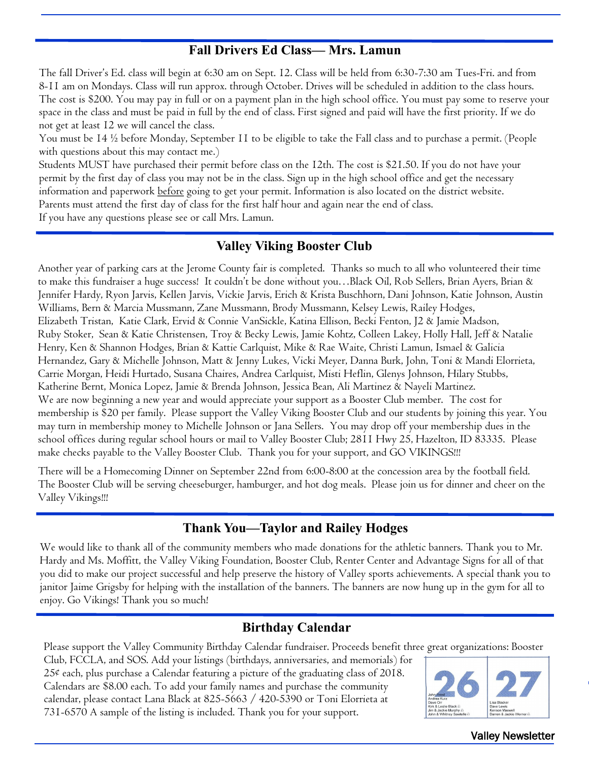#### **Fall Drivers Ed Class— Mrs. Lamun**

The fall Driver's Ed. class will begin at 6:30 am on Sept. 12. Class will be held from 6:30-7:30 am Tues-Fri. and from 8-11 am on Mondays. Class will run approx. through October. Drives will be scheduled in addition to the class hours. The cost is \$200. You may pay in full or on a payment plan in the high school office. You must pay some to reserve your space in the class and must be paid in full by the end of class. First signed and paid will have the first priority. If we do not get at least 12 we will cancel the class.

You must be 14 ½ before Monday, September 11 to be eligible to take the Fall class and to purchase a permit. (People with questions about this may contact me.)

Students MUST have purchased their permit before class on the 12th. The cost is \$21.50. If you do not have your permit by the first day of class you may not be in the class. Sign up in the high school office and get the necessary information and paperwork before going to get your permit. Information is also located on the district website. Parents must attend the first day of class for the first half hour and again near the end of class. If you have any questions please see or call Mrs. Lamun.

#### **Valley Viking Booster Club**

Another year of parking cars at the Jerome County fair is completed. Thanks so much to all who volunteered their time to make this fundraiser a huge success! It couldn't be done without you…Black Oil, Rob Sellers, Brian Ayers, Brian & Jennifer Hardy, Ryon Jarvis, Kellen Jarvis, Vickie Jarvis, Erich & Krista Buschhorn, Dani Johnson, Katie Johnson, Austin Williams, Bern & Marcia Mussmann, Zane Mussmann, Brody Mussmann, Kelsey Lewis, Railey Hodges, Elizabeth Tristan, Katie Clark, Ervid & Connie VanSickle, Katina Ellison, Becki Fenton, J2 & Jamie Madson, Ruby Stoker, Sean & Katie Christensen, Troy & Becky Lewis, Jamie Kohtz, Colleen Lakey, Holly Hall, Jeff & Natalie Henry, Ken & Shannon Hodges, Brian & Kattie Carlquist, Mike & Rae Waite, Christi Lamun, Ismael & Galicia Hernandez, Gary & Michelle Johnson, Matt & Jenny Lukes, Vicki Meyer, Danna Burk, John, Toni & Mandi Elorrieta, Carrie Morgan, Heidi Hurtado, Susana Chaires, Andrea Carlquist, Misti Heflin, Glenys Johnson, Hilary Stubbs, Katherine Bernt, Monica Lopez, Jamie & Brenda Johnson, Jessica Bean, Ali Martinez & Nayeli Martinez. We are now beginning a new year and would appreciate your support as a Booster Club member. The cost for membership is \$20 per family. Please support the Valley Viking Booster Club and our students by joining this year. You may turn in membership money to Michelle Johnson or Jana Sellers. You may drop off your membership dues in the school offices during regular school hours or mail to Valley Booster Club; 2811 Hwy 25, Hazelton, ID 83335. Please make checks payable to the Valley Booster Club. Thank you for your support, and GO VIKINGS!!!

There will be a Homecoming Dinner on September 22nd from 6:00-8:00 at the concession area by the football field. The Booster Club will be serving cheeseburger, hamburger, and hot dog meals. Please join us for dinner and cheer on the Valley Vikings!!!

#### **Thank You—Taylor and Railey Hodges**

We would like to thank all of the community members who made donations for the athletic banners. Thank you to Mr. Hardy and Ms. Moffitt, the Valley Viking Foundation, Booster Club, Renter Center and Advantage Signs for all of that you did to make our project successful and help preserve the history of Valley sports achievements. A special thank you to janitor Jaime Grigsby for helping with the installation of the banners. The banners are now hung up in the gym for all to enjoy. Go Vikings! Thank you so much!

#### **Birthday Calendar**

Please support the Valley Community Birthday Calendar fundraiser. Proceeds benefit three great organizations: Booster

Club, FCCLA, and SOS. Add your listings (birthdays, anniversaries, and memorials) for 25¢ each, plus purchase a Calendar featuring a picture of the graduating class of 2018. Calendars are \$8.00 each. To add your family names and purchase the community calendar, please contact Lana Black at 825-5663 / 420-5390 or Toni Elorrieta at 731-6570 A sample of the listing is included. Thank you for your support.



Valley Newsletter